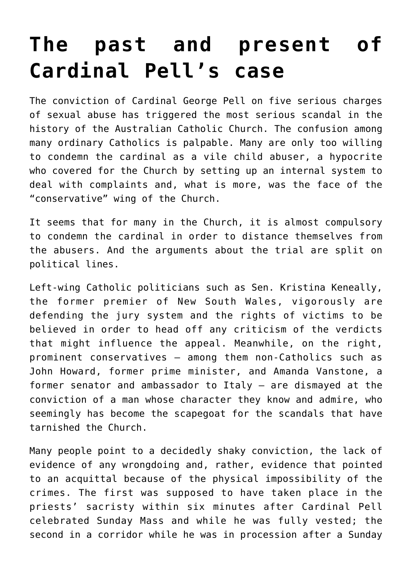## **[The past and present of](https://www.osvnews.com/2019/03/13/the-past-and-present-of-cardinal-pells-case/) [Cardinal Pell's case](https://www.osvnews.com/2019/03/13/the-past-and-present-of-cardinal-pells-case/)**

The conviction of Cardinal George Pell on five serious charges of sexual abuse has triggered the most serious scandal in the history of the Australian Catholic Church. The confusion among many ordinary Catholics is palpable. Many are only too willing to condemn the cardinal as a vile child abuser, a hypocrite who covered for the Church by setting up an internal system to deal with complaints and, what is more, was the face of the "conservative" wing of the Church.

It seems that for many in the Church, it is almost compulsory to condemn the cardinal in order to distance themselves from the abusers. And the arguments about the trial are split on political lines.

Left-wing Catholic politicians such as Sen. Kristina Keneally, the former premier of New South Wales, vigorously are defending the jury system and the rights of victims to be believed in order to head off any criticism of the verdicts that might influence the appeal. Meanwhile, on the right, prominent conservatives — among them non-Catholics such as John Howard, former prime minister, and Amanda Vanstone, a former senator and ambassador to Italy — are dismayed at the conviction of a man whose character they know and admire, who seemingly has become the scapegoat for the scandals that have tarnished the Church.

Many people point to a decidedly shaky conviction, the lack of evidence of any wrongdoing and, rather, evidence that pointed to an acquittal because of the physical impossibility of the crimes. The first was supposed to have taken place in the priests' sacristy within six minutes after Cardinal Pell celebrated Sunday Mass and while he was fully vested; the second in a corridor while he was in procession after a Sunday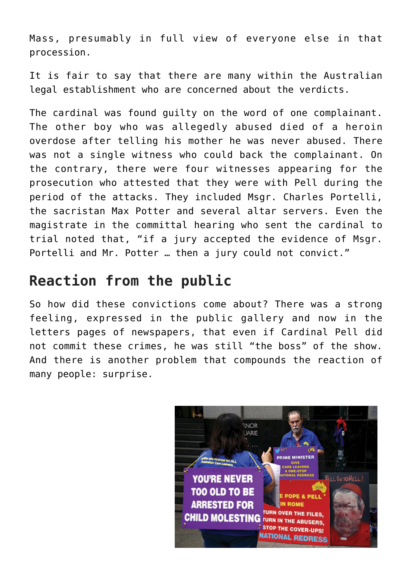Mass, presumably in full view of everyone else in that procession.

It is fair to say that there are many within the Australian legal establishment who are concerned about the verdicts.

The cardinal was found guilty on the word of one complainant. The other boy who was allegedly abused died of a heroin overdose after telling his mother he was never abused. There was not a single witness who could back the complainant. On the contrary, there were four witnesses appearing for the prosecution who attested that they were with Pell during the period of the attacks. They included Msgr. Charles Portelli, the sacristan Max Potter and several altar servers. Even the magistrate in the committal hearing who sent the cardinal to trial noted that, "if a jury accepted the evidence of Msgr. Portelli and Mr. Potter … then a jury could not convict."

## **Reaction from the public**

So how did these convictions come about? There was a strong feeling, expressed in the public gallery and now in the letters pages of newspapers, that even if Cardinal Pell did not commit these crimes, he was still "the boss" of the show. And there is another problem that compounds the reaction of many people: surprise.

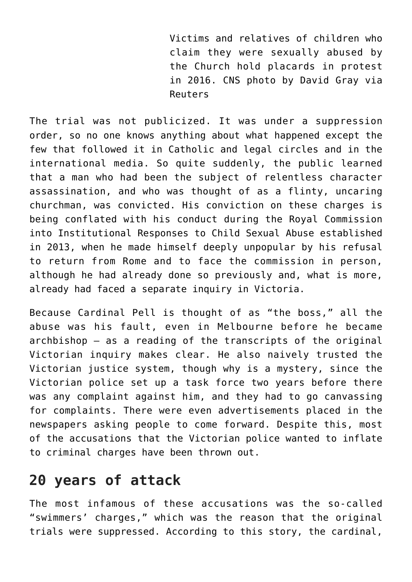Victims and relatives of children who claim they were sexually abused by the Church hold placards in protest in 2016. CNS photo by David Gray via Reuters

The trial was not publicized. It was under a suppression order, so no one knows anything about what happened except the few that followed it in Catholic and legal circles and in the international media. So quite suddenly, the public learned that a man who had been the subject of relentless character assassination, and who was thought of as a flinty, uncaring churchman, was convicted. His conviction on these charges is being conflated with his conduct during the Royal Commission into Institutional Responses to Child Sexual Abuse established in 2013, when he made himself deeply unpopular by his refusal to return from Rome and to face the commission in person, although he had already done so previously and, what is more, already had faced a separate inquiry in Victoria.

Because Cardinal Pell is thought of as "the boss," all the abuse was his fault, even in Melbourne before he became archbishop — as a reading of the transcripts of the original Victorian inquiry makes clear. He also naively trusted the Victorian justice system, though why is a mystery, since the Victorian police set up a task force two years before there was any complaint against him, and they had to go canvassing for complaints. There were even advertisements placed in the newspapers asking people to come forward. Despite this, most of the accusations that the Victorian police wanted to inflate to criminal charges have been thrown out.

## **20 years of attack**

The most infamous of these accusations was the so-called "swimmers' charges," which was the reason that the original trials were suppressed. According to this story, the cardinal,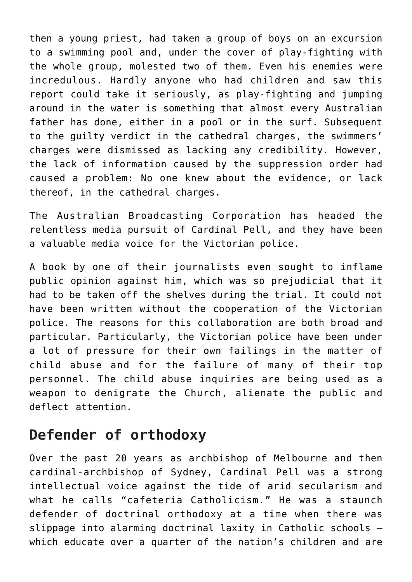then a young priest, had taken a group of boys on an excursion to a swimming pool and, under the cover of play-fighting with the whole group, molested two of them. Even his enemies were incredulous. Hardly anyone who had children and saw this report could take it seriously, as play-fighting and jumping around in the water is something that almost every Australian father has done, either in a pool or in the surf. Subsequent to the guilty verdict in the cathedral charges, the swimmers' charges were dismissed as lacking any credibility. However, the lack of information caused by the suppression order had caused a problem: No one knew about the evidence, or lack thereof, in the cathedral charges.

The Australian Broadcasting Corporation has headed the relentless media pursuit of Cardinal Pell, and they have been a valuable media voice for the Victorian police.

A book by one of their journalists even sought to inflame public opinion against him, which was so prejudicial that it had to be taken off the shelves during the trial. It could not have been written without the cooperation of the Victorian police. The reasons for this collaboration are both broad and particular. Particularly, the Victorian police have been under a lot of pressure for their own failings in the matter of child abuse and for the failure of many of their top personnel. The child abuse inquiries are being used as a weapon to denigrate the Church, alienate the public and deflect attention.

## **Defender of orthodoxy**

Over the past 20 years as archbishop of Melbourne and then cardinal-archbishop of Sydney, Cardinal Pell was a strong intellectual voice against the tide of arid secularism and what he calls "cafeteria Catholicism." He was a staunch defender of doctrinal orthodoxy at a time when there was slippage into alarming doctrinal laxity in Catholic schools which educate over a quarter of the nation's children and are